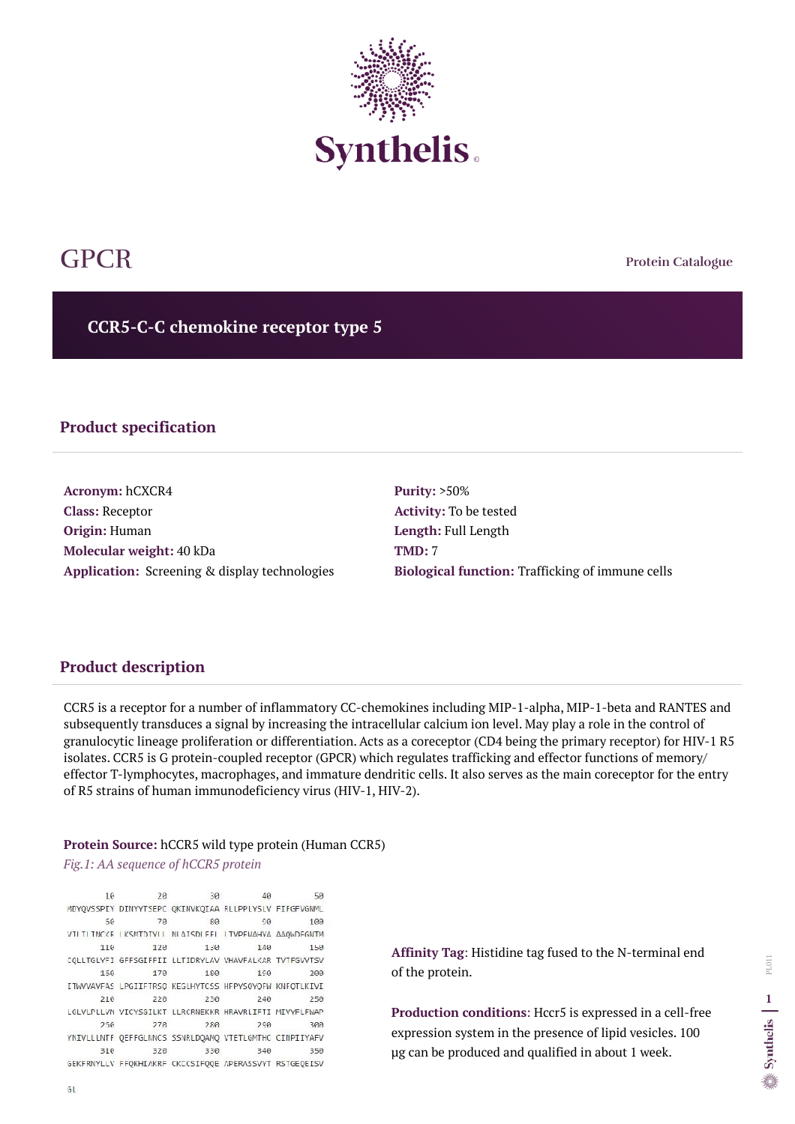**Protein Catalogue**

**CCR5-C-C chemokine receptor type 5** 



# GPCR

## **Product specification**

**Acronym:** hCXCR4 **Class:** Receptor **Origin:** Human **Molecular weight:** 40 kDa **Application:** Screening & display technologies **Purity:** >50% **Activity:** To be tested **Length:** Full Length **TMD:** 7 **Biological function:** Trafficking of immune cells

## **Product description**

CCR5 is a receptor for a number of inflammatory CC-chemokines including MIP-1-alpha, MIP-1-beta and RANTES and subsequently transduces a signal by increasing the intracellular calcium ion level. May play a role in the control of granulocytic lineage proliferation or differentiation. Acts as a coreceptor (CD4 being the primary receptor) for HIV-1 R5 isolates. CCR5 is G protein-coupled receptor (GPCR) which regulates trafficking and effector functions of memory/ effector T-lymphocytes, macrophages, and immature dendritic cells. It also serves as the main coreceptor for the entry of R5 strains of human immunodeficiency virus (HIV-1, HIV-2).

#### **Protein Source:** hCCR5 wild type protein (Human CCR5)

*Fig.1: AA sequence of hCCR5 protein*

10 20 30 40 50 MDYQVSSPIY DINYYTSEPC QKINVKQIAA RLLPPLYSLV FIFGFVGNML  $5<sup>o</sup>$ 70 80  $O(1)$ 100 VILITITNCKR KSMTDIYLL NLATSDLEEL LIVPEMAHYA AAQWDEGNIM 110 120 130 140 150 CQLLTGLYFI GFFSGIFFII LLTIDRYLAV VHAVFALKAR TVTFGVVTSV 150 170 180 200 190 ITWVVAVFAS LPGIIFTRSQ KEGLHYTCSS HFPYSOYOFW KNFOTLKIVI 210 220 230 240 250 LGLVLPLLVM VICYSGILKT LLRCRNEKKR HRAVRLIFTI MIVYFLFWAP  $250$  $278$ 280  $290$ 300 YNIVLLLNTF QEFFGLNNCS SSNRLDQAMQ VTETLGMTHC CINPIIYAFV 330  $310$ 320 340 350 GEKFRNYLLV FFQKHIAKRF CKCCSIFQQE APERASSVYT RSTGEQEISV

**Affinity Tag**: Histidine tag fused to the N-terminal end of the protein.

**Production conditions**: Hccr5 is expressed in a cell-free expression system in the presence of lipid vesicles. 100 µg can be produced and qualified in about 1 week.